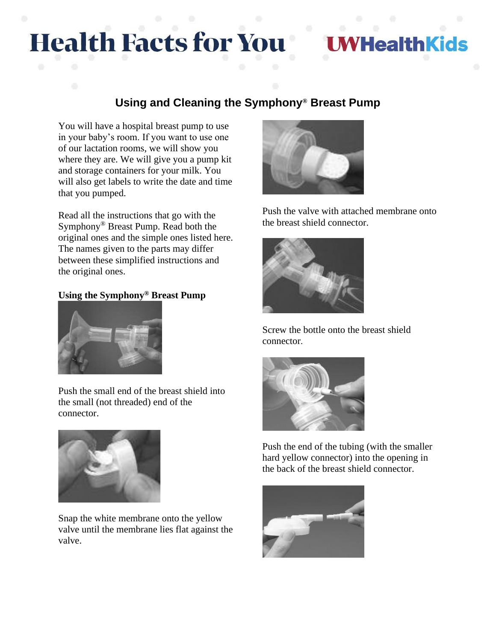# **Health Facts for You**

## **VHealthKids**

### **Using and Cleaning the Symphony® Breast Pump**

You will have a hospital breast pump to use in your baby's room. If you want to use one of our lactation rooms, we will show you where they are. We will give you a pump kit and storage containers for your milk. You will also get labels to write the date and time that you pumped.

Read all the instructions that go with the Symphony® Breast Pump. Read both the original ones and the simple ones listed here. The names given to the parts may differ between these simplified instructions and the original ones.

#### **Using the Symphony® Breast Pump**



Push the small end of the breast shield into the small (not threaded) end of the connector.



Snap the white membrane onto the yellow valve until the membrane lies flat against the valve.



Push the valve with attached membrane onto the breast shield connector.



Screw the bottle onto the breast shield connector.



Push the end of the tubing (with the smaller hard yellow connector) into the opening in the back of the breast shield connector.

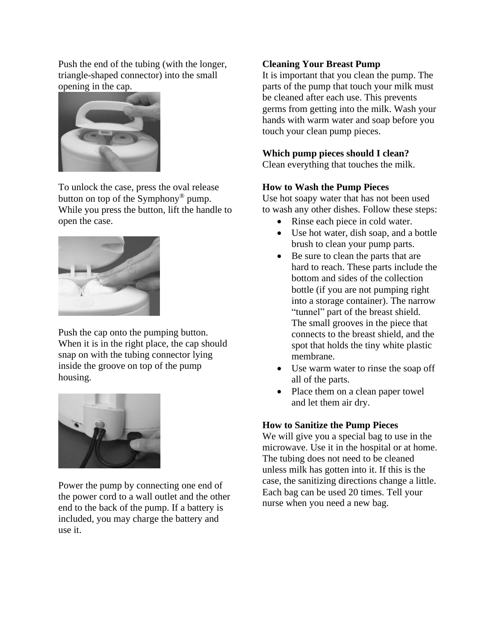Push the end of the tubing (with the longer, triangle-shaped connector) into the small opening in the cap.



To unlock the case, press the oval release button on top of the Symphony® pump. While you press the button, lift the handle to open the case.



Push the cap onto the pumping button. When it is in the right place, the cap should snap on with the tubing connector lying inside the groove on top of the pump housing.



Power the pump by connecting one end of the power cord to a wall outlet and the other end to the back of the pump. If a battery is included, you may charge the battery and use it.

#### **Cleaning Your Breast Pump**

It is important that you clean the pump. The parts of the pump that touch your milk must be cleaned after each use. This prevents germs from getting into the milk. Wash your hands with warm water and soap before you touch your clean pump pieces.

#### **Which pump pieces should I clean?**

Clean everything that touches the milk.

#### **How to Wash the Pump Pieces**

Use hot soapy water that has not been used to wash any other dishes. Follow these steps:

- Rinse each piece in cold water.
- Use hot water, dish soap, and a bottle brush to clean your pump parts.
- Be sure to clean the parts that are hard to reach. These parts include the bottom and sides of the collection bottle (if you are not pumping right into a storage container). The narrow "tunnel" part of the breast shield. The small grooves in the piece that connects to the breast shield, and the spot that holds the tiny white plastic membrane.
- Use warm water to rinse the soap off all of the parts.
- Place them on a clean paper towel and let them air dry.

#### **How to Sanitize the Pump Pieces**

We will give you a special bag to use in the microwave. Use it in the hospital or at home. The tubing does not need to be cleaned unless milk has gotten into it. If this is the case, the sanitizing directions change a little. Each bag can be used 20 times. Tell your nurse when you need a new bag.